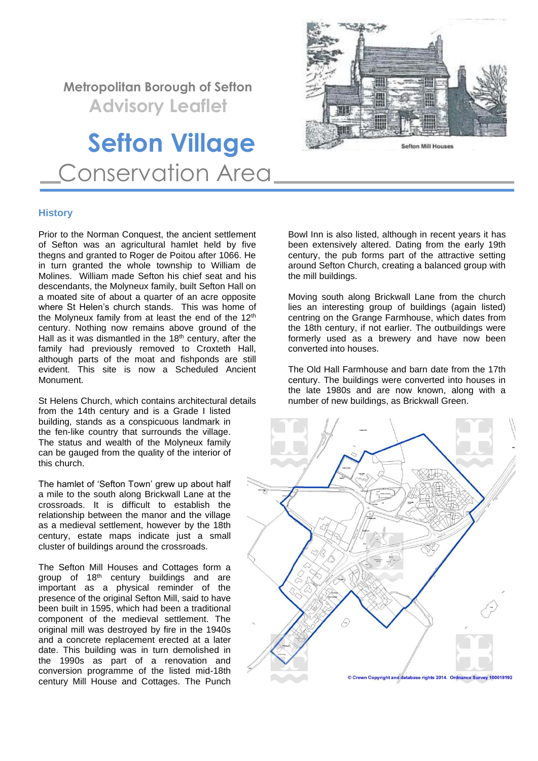# **Metropolitan Borough of Sefton**

 **Advisory Leaflet**

# **Sefton Village** Conservation Area



# **History**

Prior to the Norman Conquest, the ancient settlement of Sefton was an agricultural hamlet held by five thegns and granted to Roger de Poitou after 1066. He in turn granted the whole township to William de Molines. William made Sefton his chief seat and his descendants, the Molyneux family, built Sefton Hall on a moated site of about a quarter of an acre opposite where St Helen's church stands. This was home of the Molyneux family from at least the end of the 12<sup>th</sup> century. Nothing now remains above ground of the Hall as it was dismantled in the 18<sup>th</sup> century, after the family had previously removed to Croxteth Hall, although parts of the moat and fishponds are still evident. This site is now a Scheduled Ancient Monument.

St Helens Church, which contains architectural details from the 14th century and is a Grade I listed building, stands as a conspicuous landmark in the fen-like country that surrounds the village. The status and wealth of the Molyneux family can be gauged from the quality of the interior of this church.

The hamlet of 'Sefton Town' grew up about half a mile to the south along Brickwall Lane at the crossroads. It is difficult to establish the relationship between the manor and the village as a medieval settlement, however by the 18th century, estate maps indicate just a small cluster of buildings around the crossroads.

The Sefton Mill Houses and Cottages form a group of 18<sup>th</sup> century buildings and are important as a physical reminder of the presence of the original Sefton Mill, said to have been built in 1595, which had been a traditional component of the medieval settlement. The original mill was destroyed by fire in the 1940s and a concrete replacement erected at a later date. This building was in turn demolished in the 1990s as part of a renovation and conversion programme of the listed mid-18th century Mill House and Cottages. The Punch Bowl Inn is also listed, although in recent years it has been extensively altered. Dating from the early 19th century, the pub forms part of the attractive setting around Sefton Church, creating a balanced group with the mill buildings.

Moving south along Brickwall Lane from the church lies an interesting group of buildings (again listed) centring on the Grange Farmhouse, which dates from the 18th century, if not earlier. The outbuildings were formerly used as a brewery and have now been converted into houses.

The Old Hall Farmhouse and barn date from the 17th century. The buildings were converted into houses in the late 1980s and are now known, along with a number of new buildings, as Brickwall Green.

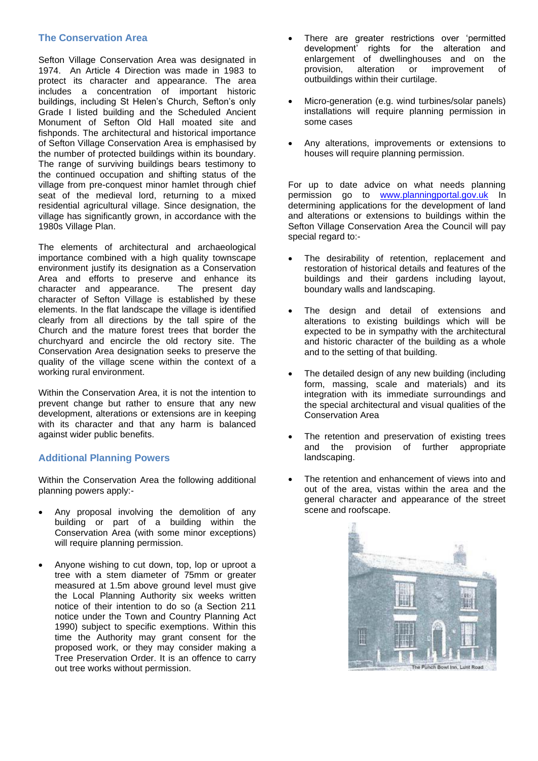# **The Conservation Area**

Sefton Village Conservation Area was designated in 1974. An Article 4 Direction was made in 1983 to protect its character and appearance. The area includes a concentration of important historic buildings, including St Helen's Church, Sefton's only Grade I listed building and the Scheduled Ancient Monument of Sefton Old Hall moated site and fishponds. The architectural and historical importance of Sefton Village Conservation Area is emphasised by the number of protected buildings within its boundary. The range of surviving buildings bears testimony to the continued occupation and shifting status of the village from pre-conquest minor hamlet through chief seat of the medieval lord, returning to a mixed residential agricultural village. Since designation, the village has significantly grown, in accordance with the 1980s Village Plan.

The elements of architectural and archaeological importance combined with a high quality townscape environment justify its designation as a Conservation Area and efforts to preserve and enhance its character and appearance. The present day character of Sefton Village is established by these elements. In the flat landscape the village is identified clearly from all directions by the tall spire of the Church and the mature forest trees that border the churchyard and encircle the old rectory site. The Conservation Area designation seeks to preserve the quality of the village scene within the context of a working rural environment.

Within the Conservation Area, it is not the intention to prevent change but rather to ensure that any new development, alterations or extensions are in keeping with its character and that any harm is balanced against wider public benefits.

# **Additional Planning Powers**

Within the Conservation Area the following additional planning powers apply:-

- Any proposal involving the demolition of any building or part of a building within the Conservation Area (with some minor exceptions) will require planning permission.
- Anyone wishing to cut down, top, lop or uproot a tree with a stem diameter of 75mm or greater measured at 1.5m above ground level must give the Local Planning Authority six weeks written notice of their intention to do so (a Section 211 notice under the Town and Country Planning Act 1990) subject to specific exemptions. Within this time the Authority may grant consent for the proposed work, or they may consider making a Tree Preservation Order. It is an offence to carry out tree works without permission.
- There are greater restrictions over 'permitted development' rights for the alteration and enlargement of dwellinghouses and on the provision, alteration or improvement of outbuildings within their curtilage.
- Micro-generation (e.g. wind turbines/solar panels) installations will require planning permission in some cases
- Any alterations, improvements or extensions to houses will require planning permission.

For up to date advice on what needs planning permission go to [www.planningportal.gov.uk](http://www.planningportal.gov.uk/) In determining applications for the development of land and alterations or extensions to buildings within the Sefton Village Conservation Area the Council will pay special regard to:-

- The desirability of retention, replacement and restoration of historical details and features of the buildings and their gardens including layout, boundary walls and landscaping.
- The design and detail of extensions and alterations to existing buildings which will be expected to be in sympathy with the architectural and historic character of the building as a whole and to the setting of that building.
- The detailed design of any new building (including form, massing, scale and materials) and its integration with its immediate surroundings and the special architectural and visual qualities of the Conservation Area
- The retention and preservation of existing trees and the provision of further appropriate landscaping.
- The retention and enhancement of views into and out of the area, vistas within the area and the general character and appearance of the street scene and roofscape.

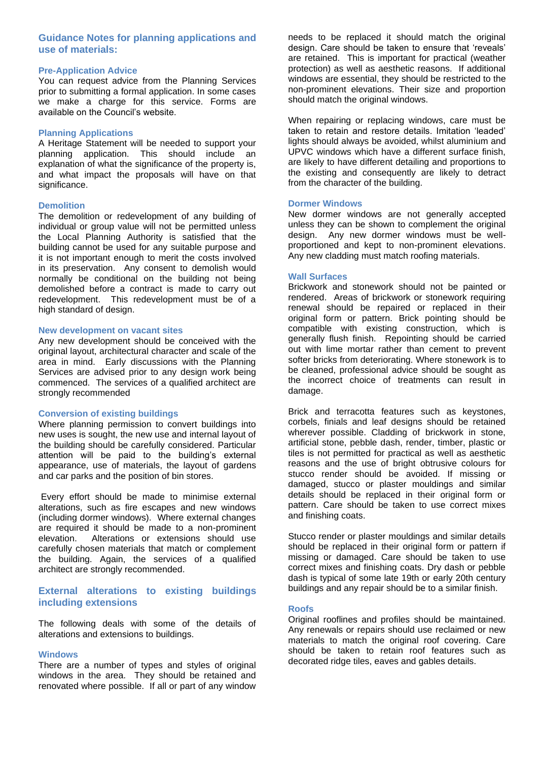# **Guidance Notes for planning applications and use of materials:**

#### **Pre-Application Advice**

You can request advice from the Planning Services prior to submitting a formal application. In some cases we make a charge for this service. Forms are available on the Council's website.

# **Planning Applications**

A Heritage Statement will be needed to support your planning application. This should include an explanation of what the significance of the property is, and what impact the proposals will have on that significance.

#### **Demolition**

The demolition or redevelopment of any building of individual or group value will not be permitted unless the Local Planning Authority is satisfied that the building cannot be used for any suitable purpose and it is not important enough to merit the costs involved in its preservation. Any consent to demolish would normally be conditional on the building not being demolished before a contract is made to carry out redevelopment. This redevelopment must be of a high standard of design.

#### **New development on vacant sites**

Any new development should be conceived with the original layout, architectural character and scale of the area in mind. Early discussions with the Planning Services are advised prior to any design work being commenced. The services of a qualified architect are strongly recommended

#### **Conversion of existing buildings**

Where planning permission to convert buildings into new uses is sought, the new use and internal layout of the building should be carefully considered. Particular attention will be paid to the building's external appearance, use of materials, the layout of gardens and car parks and the position of bin stores.

Every effort should be made to minimise external alterations, such as fire escapes and new windows (including dormer windows). Where external changes are required it should be made to a non-prominent elevation. Alterations or extensions should use carefully chosen materials that match or complement the building. Again, the services of a qualified architect are strongly recommended.

# **External alterations to existing buildings including extensions**

The following deals with some of the details of alterations and extensions to buildings.

#### **Windows**

There are a number of types and styles of original windows in the area. They should be retained and renovated where possible. If all or part of any window needs to be replaced it should match the original design. Care should be taken to ensure that 'reveals' are retained. This is important for practical (weather protection) as well as aesthetic reasons. If additional windows are essential, they should be restricted to the non-prominent elevations. Their size and proportion should match the original windows.

When repairing or replacing windows, care must be taken to retain and restore details. Imitation 'leaded' lights should always be avoided, whilst aluminium and UPVC windows which have a different surface finish, are likely to have different detailing and proportions to the existing and consequently are likely to detract from the character of the building.

# **Dormer Windows**

New dormer windows are not generally accepted unless they can be shown to complement the original design. Any new dormer windows must be wellproportioned and kept to non-prominent elevations. Any new cladding must match roofing materials.

#### **Wall Surfaces**

Brickwork and stonework should not be painted or rendered. Areas of brickwork or stonework requiring renewal should be repaired or replaced in their original form or pattern. Brick pointing should be compatible with existing construction, which is generally flush finish. Repointing should be carried out with lime mortar rather than cement to prevent softer bricks from deteriorating. Where stonework is to be cleaned, professional advice should be sought as the incorrect choice of treatments can result in damage.

Brick and terracotta features such as keystones, corbels, finials and leaf designs should be retained wherever possible. Cladding of brickwork in stone, artificial stone, pebble dash, render, timber, plastic or tiles is not permitted for practical as well as aesthetic reasons and the use of bright obtrusive colours for stucco render should be avoided. If missing or damaged, stucco or plaster mouldings and similar details should be replaced in their original form or pattern. Care should be taken to use correct mixes and finishing coats.

Stucco render or plaster mouldings and similar details should be replaced in their original form or pattern if missing or damaged. Care should be taken to use correct mixes and finishing coats. Dry dash or pebble dash is typical of some late 19th or early 20th century buildings and any repair should be to a similar finish.

#### **Roofs**

Original rooflines and profiles should be maintained. Any renewals or repairs should use reclaimed or new materials to match the original roof covering. Care should be taken to retain roof features such as decorated ridge tiles, eaves and gables details.